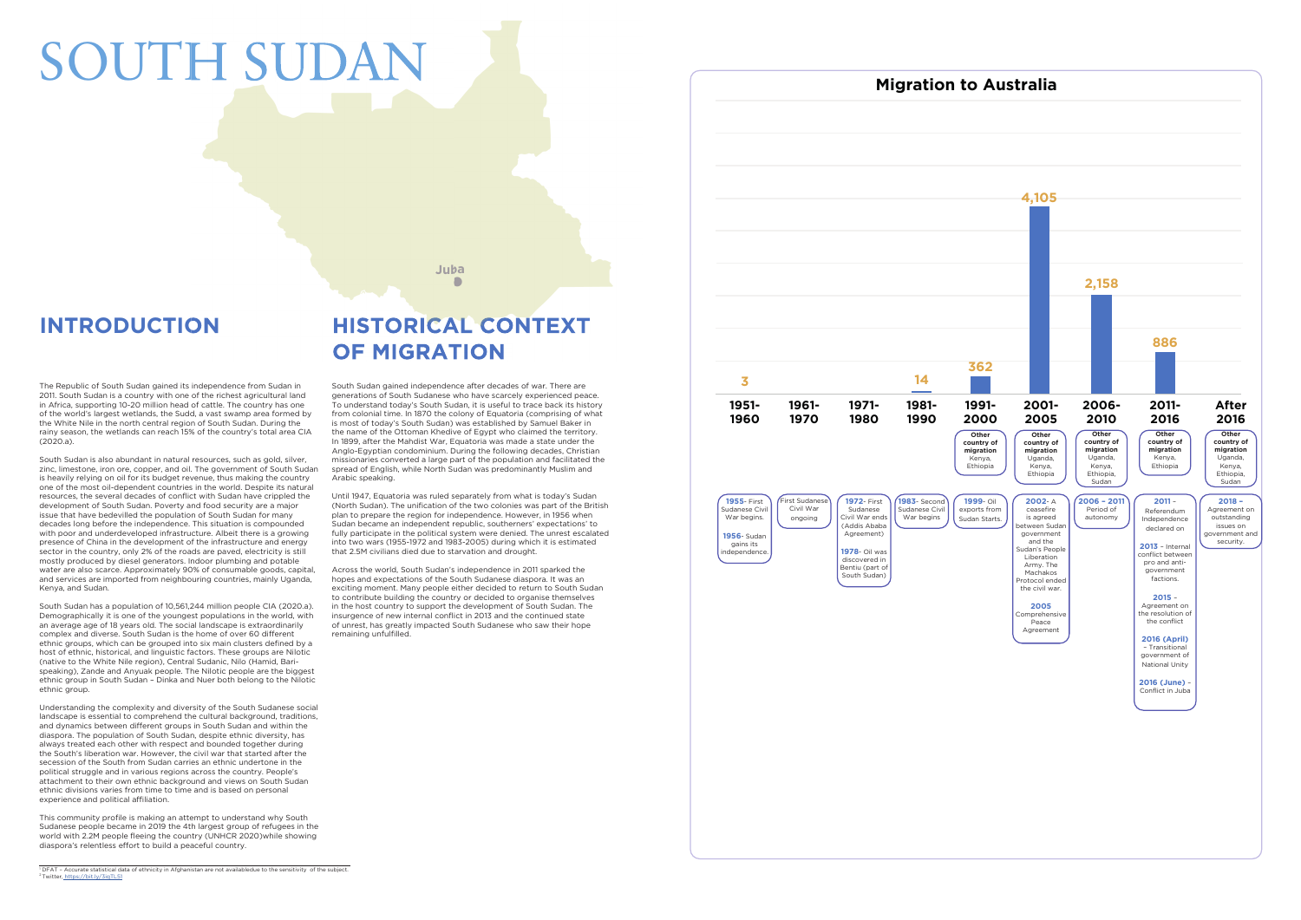The Republic of South Sudan gained its independence from Sudan in 2011. South Sudan is a country with one of the richest agricultural land in Africa, supporting 10-20 million head of cattle. The country has one of the world's largest wetlands, the Sudd, a vast swamp area formed by the White Nile in the north central region of South Sudan. During the rainy season, the wetlands can reach 15% of the country's total area CIA  $(2020a)$ 

South Sudan has a population of 10,561,244 million people CIA (2020.a). Demographically it is one of the youngest populations in the world, with an average age of 18 years old. The social landscape is extraordinarily complex and diverse. South Sudan is the home of over 60 different ethnic groups, which can be grouped into six main clusters defined by a host of ethnic, historical, and linguistic factors. These groups are Nilotic (native to the White Nile region), Central Sudanic, Nilo (Hamid, Barispeaking), Zande and Anyuak people. The Nilotic people are the biggest ethnic group in South Sudan – Dinka and Nuer both belong to the Nilotic ethnic group.

South Sudan is also abundant in natural resources, such as gold, silver, zinc, limestone, iron ore, copper, and oil. The government of South Sudan is heavily relying on oil for its budget revenue, thus making the country one of the most oil-dependent countries in the world. Despite its natural resources, the several decades of conflict with Sudan have crippled the development of South Sudan. Poverty and food security are a major issue that have bedevilled the population of South Sudan for many decades long before the independence. This situation is compounded with poor and underdeveloped infrastructure. Albeit there is a growing presence of China in the development of the infrastructure and energy sector in the country, only 2% of the roads are paved, electricity is still mostly produced by diesel generators. Indoor plumbing and potable water are also scarce. Approximately 90% of consumable goods, capital, and services are imported from neighbouring countries, mainly Uganda, Kenya, and Sudan.

Understanding the complexity and diversity of the South Sudanese social landscape is essential to comprehend the cultural background, traditions, and dynamics between different groups in South Sudan and within the diaspora. The population of South Sudan, despite ethnic diversity, has always treated each other with respect and bounded together during the South's liberation war. However, the civil war that started after the secession of the South from Sudan carries an ethnic undertone in the political struggle and in various regions across the country. People's attachment to their own ethnic background and views on South Sudan ethnic divisions varies from time to time and is based on personal experience and political affiliation.

This community profile is making an attempt to understand why South Sudanese people became in 2019 the 4th largest group of refugees in the world with 2.2M people fleeing the country (UNHCR 2020)while showing diaspora's relentless effort to build a peaceful country.

Across the world, South Sudan's independence in 2011 sparked the hopes and expectations of the South Sudanese diaspora. It was an exciting moment. Many people either decided to return to South Sudan to contribute building the country or decided to organise themselves in the host country to support the development of South Sudan. The insurgence of new internal conflict in 2013 and the continued state of unrest, has greatly impacted South Sudanese who saw their hope remaining unfulfilled.

South Sudan gained independence after decades of war. There are generations of South Sudanese who have scarcely experienced peace. To understand today's South Sudan, it is useful to trace back its history from colonial time. In 1870 the colony of Equatoria (comprising of what is most of today's South Sudan) was established by Samuel Baker in the name of the Ottoman Khedive of Egypt who claimed the territory. In 1899, after the Mahdist War, Equatoria was made a state under the Anglo-Egyptian condominium. During the following decades, Christian missionaries converted a large part of the population and facilitated the spread of English, while North Sudan was predominantly Muslim and Arabic speaking.

Until 1947, Equatoria was ruled separately from what is today's Sudan (North Sudan). The unification of the two colonies was part of the British plan to prepare the region for independence. However, in 1956 when Sudan became an independent republic, southerners' expectations' to fully participate in the political system were denied. The unrest escalated into two wars (1955-1972 and 1983-2005) during which it is estimated that 2.5M civilians died due to starvation and drought.



# **HISTORICAL CONTEXT OF MIGRATION**

Juba

## **INTRODUCTION**

# SOUTH SUDA

## **Migration to Australia**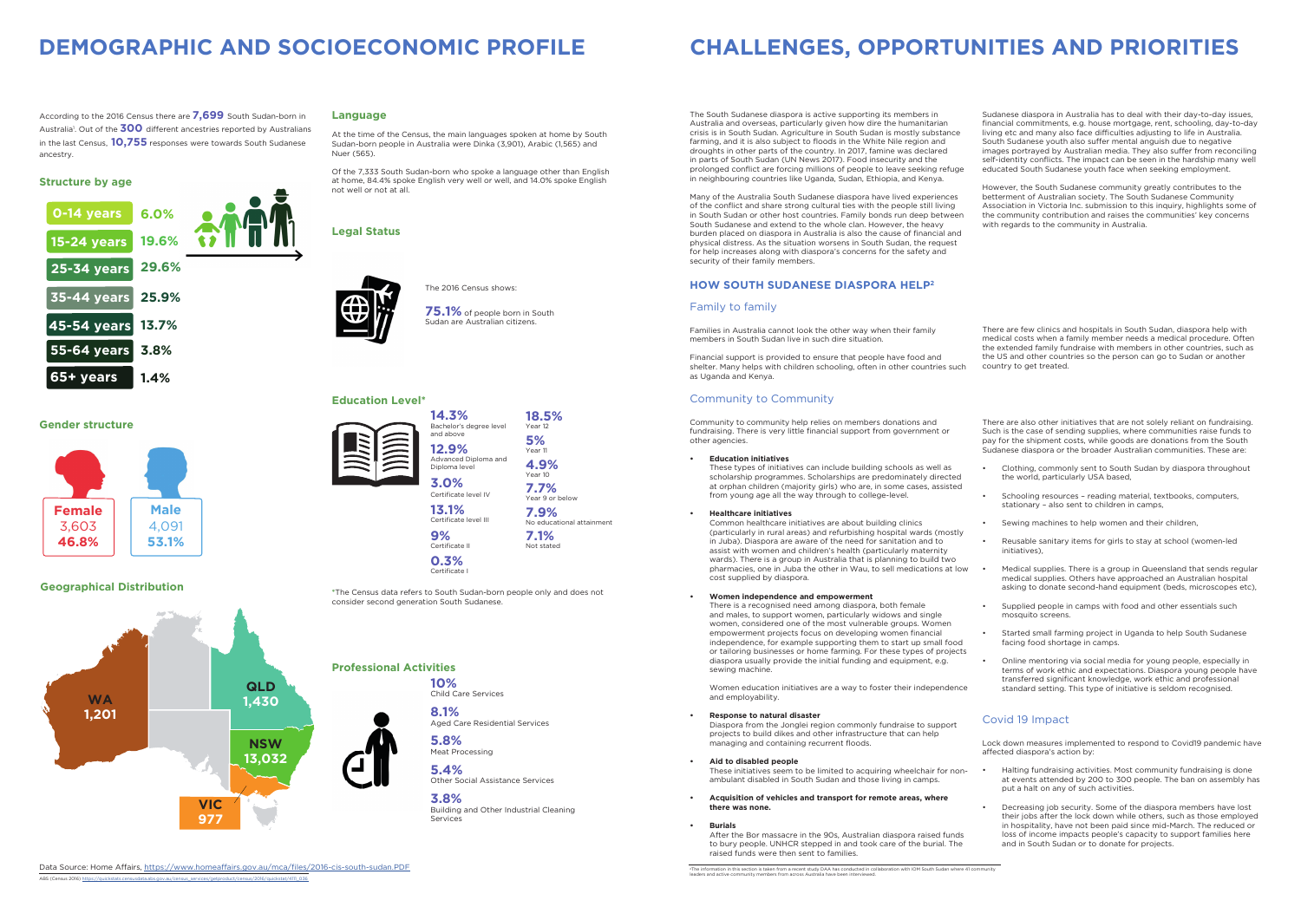#### **Education Level\***



### **Professional Activities**

#### **Geographical Distribution**

#### **HOW SOUTH SUDANESE DIASPORA HELP2**



#### **Structure by age**

**Gender structure**

The 2016 Census shows:

**75.1%** of people born in South Sudan are Australian citizens.

## **DEMOGRAPHIC AND SOCIOECONOMIC PROFILE CHALLENGES, OPPORTUNITIES AND PRIORITIES**

The South Sudanese diaspora is active supporting its members in Australia and overseas, particularly given how dire the humanitarian crisis is in South Sudan. Agriculture in South Sudan is mostly substance farming, and it is also subject to floods in the White Nile region and droughts in other parts of the country. In 2017, famine was declared in parts of South Sudan (UN News 2017). Food insecurity and the prolonged conflict are forcing millions of people to leave seeking refuge in neighbouring countries like Uganda, Sudan, Ethiopia, and Kenya.

Many of the Australia South Sudanese diaspora have lived experiences of the conflict and share strong cultural ties with the people still living in South Sudan or other host countries. Family bonds run deep between South Sudanese and extend to the whole clan. However, the heavy burden placed on diaspora in Australia is also the cause of financial and physical distress. As the situation worsens in South Sudan, the request for help increases along with diaspora's concerns for the safety and security of their family members.

#### Family to family

Families in Australia cannot look the other way when their family members in South Sudan live in such dire situation.

Financial support is provided to ensure that people have food and shelter. Many helps with children schooling, often in other countries such as Uganda and Kenya.

Diaspora from the Jonglei region commonly fundraise to support projects to build dikes and other infrastructure that can help managing and containing recurrent floods.

There are few clinics and hospitals in South Sudan, diaspora help with medical costs when a family member needs a medical procedure. Often the extended family fundraise with members in other countries, such as the US and other countries so the person can go to Sudan or another country to get treated.

#### Community to Community

Community to community help relies on members donations and fundraising. There is very little financial support from government or other agencies.

#### **• Education initiatives**

These types of initiatives can include building schools as well as scholarship programmes. Scholarships are predominately directed at orphan children (majority girls) who are, in some cases, assisted from young age all the way through to college-level.

#### **• Healthcare initiatives**

Common healthcare initiatives are about building clinics (particularly in rural areas) and refurbishing hospital wards (mostly in Juba). Diaspora are aware of the need for sanitation and to assist with women and children's health (particularly maternity wards). There is a group in Australia that is planning to build two pharmacies, one in Juba the other in Wau, to sell medications at low cost supplied by diaspora.

However, the South Sudanese community greatly contributes to the betterment of Australian society. The South Sudanese Community Association in Victoria Inc. submission to this inquiry, highlights some of the community contribution and raises the communities' key concerns with regards to the community in Australia.

#### **• Women independence and empowerment**

There is a recognised need among diaspora, both female and males, to support women, particularly widows and single women, considered one of the most vulnerable groups. Women empowerment projects focus on developing women financial independence, for example supporting them to start up small food or tailoring businesses or home farming. For these types of projects diaspora usually provide the initial funding and equipment, e.g. sewing machine.

**3.8%**  Building and Other Industrial Cleaning **Services** 

Women education initiatives are a way to foster their independence and employability.

#### **• Response to natural disaster**

**14.3%** Bachelor's de and above **12.9%** Advanced D Diploma leve **3.0%** Certificate le

> **• Aid to disabled people** These initiatives seem to be limited to acquiring wheelchair for nonambulant disabled in South Sudan and those living in camps.

**13.1%** Certificate le **9%**  Certificate II

**0.3%**  Certificate

> **• Acquisition of vehicles and transport for remote areas, where there was none.**

#### **• Burials**

After the Bor massacre in the 90s, Australian diaspora raised funds to bury people. UNHCR stepped in and took care of the burial. The raised funds were then sent to families.

There are also other initiatives that are not solely reliant on fundraising. Such is the case of sending supplies, where communities raise funds to pay for the shipment costs, while goods are donations from the South Sudanese diaspora or the broader Australian communities. These are:

- Clothing, commonly sent to South Sudan by diaspora throughout the world, particularly USA based,
- Schooling resources reading material, textbooks, computers, stationary – also sent to children in camps,
- Sewing machines to help women and their children.
- Reusable sanitary items for girls to stay at school (women-led initiatives),
- Medical supplies. There is a group in Queensland that sends regular medical supplies. Others have approached an Australian hospital asking to donate second-hand equipment (beds, microscopes etc),
- Supplied people in camps with food and other essentials such mosquito screens.
- Started small farming project in Uganda to help South Sudanese facing food shortage in camps.
- Online mentoring via social media for young people, especially in terms of work ethic and expectations. Diaspora young people have transferred significant knowledge, work ethic and professional standard setting. This type of initiative is seldom recognised.

Sudanese diaspora in Australia has to deal with their day-to-day issues, financial commitments, e.g. house mortgage, rent, schooling, day-to-day living etc and many also face difficulties adjusting to life in Australia. South Sudanese youth also suffer mental anguish due to negative images portrayed by Australian media. They also suffer from reconciling self-identity conflicts. The impact can be seen in the hardship many well educated South Sudanese youth face when seeking employment.

According to the 2016 Census there are **7,699** South Sudan-born in Australia<sup>1</sup>. Out of the **300** different ancestries reported by Australians in the last Census, **10,755** responses were towards South Sudanese ancestry.



**10%** Child Care Services



**5.8%**  Meat Processing

> **5.4%** Other Social Assistance Services

#### **Language**

At the time of the Census, the main languages spoken at home by South Sudan-born people in Australia were Dinka (3,901), Arabic (1,565) and Nuer (565).

Of the 7,333 South Sudan-born who spoke a language other than English at home, 84.4% spoke English very well or well, and 14.0% spoke English not well or not at all.

#### **Legal Status**



**18.5%**

| gree level | Year 12                           |
|------------|-----------------------------------|
|            | 5%<br>Year 11                     |
| ploma and  | 4.9%<br>Year 10                   |
| vel IV     | 7.7%<br>Year 9 or below           |
| vel III    | 7.9%<br>No educational attainment |
|            |                                   |

**7.1%** Not stated



2The information in this section is taken from a recent study DAA has conducted in collaboration with IOM South Sudan where 41 community leaders and active community members from across Australia have been interviewed.

**\***The Census data refers to South Sudan-born people only and does not consider second generation South Sudanese.

#### Covid 19 Impact

Lock down measures implemented to respond to Covid19 pandemic have affected diaspora's action by:

- Halting fundraising activities. Most community fundraising is done at events attended by 200 to 300 people. The ban on assembly has put a halt on any of such activities.
- Decreasing job security. Some of the diaspora members have lost their jobs after the lock down while others, such as those employed in hospitality, have not been paid since mid-March. The reduced or loss of income impacts people's capacity to support families here and in South Sudan or to donate for projects.